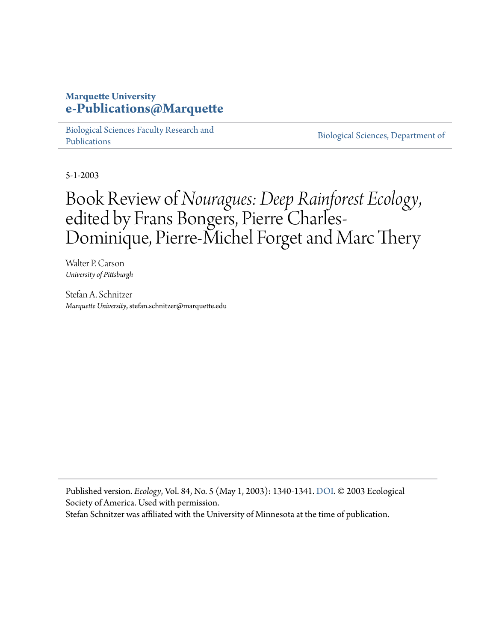### **Marquette University [e-Publications@Marquette](https://epublications.marquette.edu/)**

[Biological Sciences Faculty Research and](https://epublications.marquette.edu/bio_fac) [Publications](https://epublications.marquette.edu/bio_fac)

[Biological Sciences, Department of](https://epublications.marquette.edu/biology)

5-1-2003

# Book Review of*Nouragues: Deep Rainforest Ecology*, edited by Frans Bongers, Pierre Charles-Dominique, Pierre-Michel Forget and Marc Thery

Walter P. Carson *University of Pittsburgh*

Stefan A. Schnitzer *Marquette University*, stefan.schnitzer@marquette.edu

Published version. *Ecology*, Vol. 84, No. 5 (May 1, 2003): 1340-1341. DOI. © 2003 Ecological Society of America. Used with permission.

Stefan Schnitzer was affiliated with the University of Minnesota at the time of publication.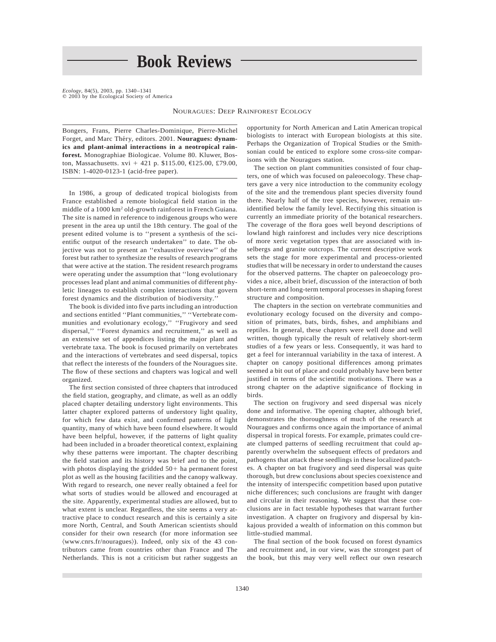## **Book Reviews**

*Ecology,* 84(5), 2003, pp.  $1340-1341$   $\circledcirc$  2003 by the Ecological Society of America

NOURAGUES: DEEP RAINFOREST ECOLOGY

Bongers, Frans, Pierre Charles-Dominique, Pierre-Michel Forget, and Marc Théry, editors. 2001. Nouragues: dynam**ics and plant-animal interactions in a neotropical rainforest.** Monographiae Biologicae. Volume 80. Kluwer, Boston, Massachusetts. xvi + 421 p. \$115.00, €125.00, £79.00, ISBN: 1-4020-0123-1 (acid-free paper).

In 1986, a group of dedicated tropical biologists from France established a remote biological field station in the middle of a 1000 km2 old-growth rainforest in French Guiana. The site is named in reference to indigenous groups who were present in the area up until the 18th century. The goal of the present edited volume is to ''present a synthesis of the scientific output of the research undertaken'' to date. The objective was not to present an ''exhaustive overview'' of the forest but rather to synthesize the results of research programs that were active at the station. The resident research programs were operating under the assumption that ''long evolutionary processes lead plant and animal communities of different phyletic lineages to establish complex interactions that govern forest dynamics and the distribution of biodiversity.''

The book is divided into five parts including an introduction and sections entitled ''Plant communities,'' ''Vertebrate communities and evolutionary ecology,'' ''Frugivory and seed dispersal,'' ''Forest dynamics and recruitment,'' as well as an extensive set of appendices listing the major plant and vertebrate taxa. The book is focused primarily on vertebrates and the interactions of vertebrates and seed dispersal, topics that reflect the interests of the founders of the Nouragues site. The flow of these sections and chapters was logical and well organized.

The first section consisted of three chapters that introduced the field station, geography, and climate, as well as an oddly placed chapter detailing understory light environments. This latter chapter explored patterns of understory light quality, for which few data exist, and confirmed patterns of light quantity, many of which have been found elsewhere. It would have been helpful, however, if the patterns of light quality had been included in a broader theoretical context, explaining why these patterns were important. The chapter describing the field station and its history was brief and to the point, with photos displaying the gridded  $50+$  ha permanent forest plot as well as the housing facilities and the canopy walkway. With regard to research, one never really obtained a feel for what sorts of studies would be allowed and encouraged at the site. Apparently, experimental studies are allowed, but to what extent is unclear. Regardless, the site seems a very attractive place to conduct research and this is certainly a site more North, Central, and South American scientists should consider for their own research (for more information see  $\langle$ www.cnrs.fr/nouragues $\rangle$ ). Indeed, only six of the 43 contributors came from countries other than France and The Netherlands. This is not a criticism but rather suggests an opportunity for North American and Latin American tropical biologists to interact with European biologists at this site. Perhaps the Organization of Tropical Studies or the Smithsonian could be enticed to explore some cross-site comparisons with the Nouragues station.

The section on plant communities consisted of four chapters, one of which was focused on paleoecology. These chapters gave a very nice introduction to the community ecology of the site and the tremendous plant species diversity found there. Nearly half of the tree species, however, remain unidentified below the family level. Rectifying this situation is currently an immediate priority of the botanical researchers. The coverage of the flora goes well beyond descriptions of lowland high rainforest and includes very nice descriptions of more xeric vegetation types that are associated with inselbergs and granite outcrops. The current descriptive work sets the stage for more experimental and process-oriented studies that will be necessary in order to understand the causes for the observed patterns. The chapter on paleoecology provides a nice, albeit brief, discussion of the interaction of both short-term and long-term temporal processes in shaping forest structure and composition.

The chapters in the section on vertebrate communities and evolutionary ecology focused on the diversity and composition of primates, bats, birds, fishes, and amphibians and reptiles. In general, these chapters were well done and well written, though typically the result of relatively short-term studies of a few years or less. Consequently, it was hard to get a feel for interannual variability in the taxa of interest. A chapter on canopy positional differences among primates seemed a bit out of place and could probably have been better justified in terms of the scientific motivations. There was a strong chapter on the adaptive significance of flocking in birds.

The section on frugivory and seed dispersal was nicely done and informative. The opening chapter, although brief, demonstrates the thoroughness of much of the research at Nouragues and confirms once again the importance of animal dispersal in tropical forests. For example, primates could create clumped patterns of seedling recruitment that could apparently overwhelm the subsequent effects of predators and pathogens that attack these seedlings in these localized patches. A chapter on bat frugivory and seed dispersal was quite thorough, but drew conclusions about species coexistence and the intensity of interspecific competition based upon putative niche differences; such conclusions are fraught with danger and circular in their reasoning. We suggest that these conclusions are in fact testable hypotheses that warrant further investigation. A chapter on frugivory and dispersal by kinkajous provided a wealth of information on this common but little-studied mammal.

The final section of the book focused on forest dynamics and recruitment and, in our view, was the strongest part of the book, but this may very well reflect our own research